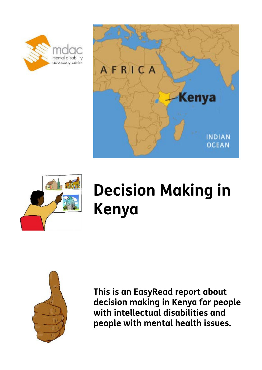





# **Decision Making in Kenya**



**This is an EasyRead report about decision making in Kenya for people with intellectual disabilities and people with mental health issues.**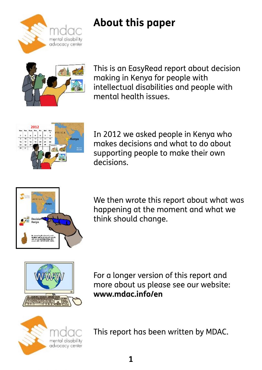

# **About this paper**



This is an EasyRead report about decision making in Kenya for people with intellectual disabilities and people with mental health issues.



In 2012 we asked people in Kenya who makes decisions and what to do about supporting people to make their own decisions.



We then wrote this report about what was happening at the moment and what we think should change.



For a longer version of this report and more about us please see our website: **www.mdac.info/en**



This report has been written by MDAC.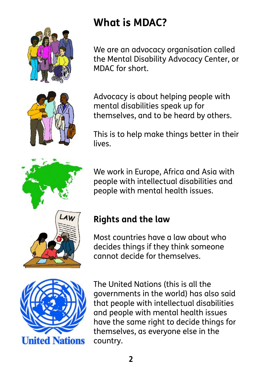





# **What is MDAC?**

We are an advocacy organisation called the Mental Disability Advocacy Center, or MDAC for short.

Advocacy is about helping people with mental disabilities speak up for themselves, and to be heard by others.

This is to help make things better in their lives.

We work in Europe, Africa and Asia with people with intellectual disabilities and people with mental health issues.

#### **Rights and the law**

Most countries have a law about who decides things if they think someone cannot decide for themselves.



The United Nations (this is all the governments in the world) has also said that people with intellectual disabilities and people with mental health issues have the same right to decide things for themselves, as everyone else in the country.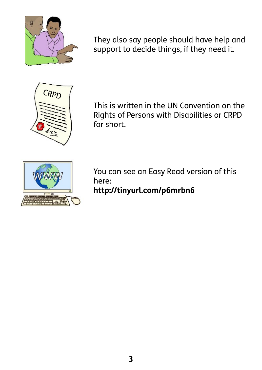

They also say people should have help and support to decide things, if they need it.



This is written in the UN Convention on the Rights of Persons with Disabilities or CRPD for short.



You can see an Easy Read version of this here: **http://tinyurl.com/p6mrbn6**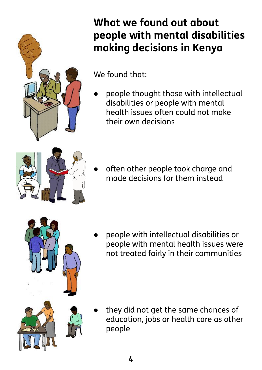

# **What we found out about people with mental disabilities making decisions in Kenya**

We found that:

people thought those with intellectual disabilities or people with mental health issues often could not make their own decisions



often other people took charge and made decisions for them instead



people with intellectual disabilities or people with mental health issues were not treated fairly in their communities

they did not get the same chances of education, jobs or health care as other people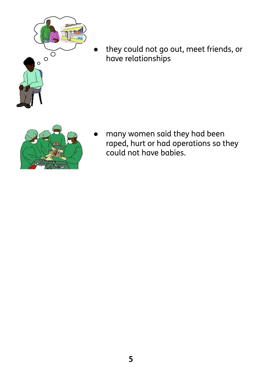

they could not go out, meet friends, or have relationships



many women said they had been raped, hurt or had operations so they could not have babies.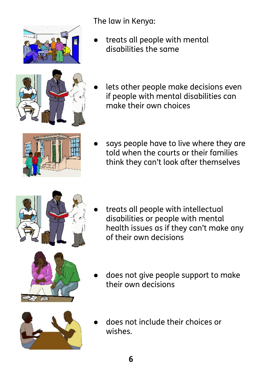

The law in Kenya:

treats all people with mental disabilities the same



lets other people make decisions even if people with mental disabilities can make their own choices



says people have to live where they are told when the courts or their families think they can't look after themselves



- treats all people with intellectual disabilities or people with mental health issues as if they can't make any of their own decisions
- does not give people support to make their own decisions



does not include their choices or wishes.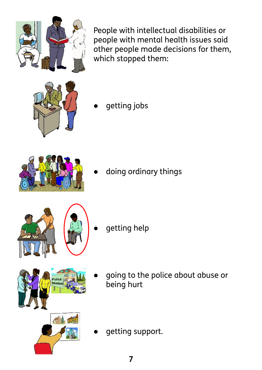People with intellectual disabilities or people with mental health issues said other people made decisions for them, which stopped them:

getting jobs

doing ordinary things

- getting help
- going to the police about abuse or being hurt





olice Station



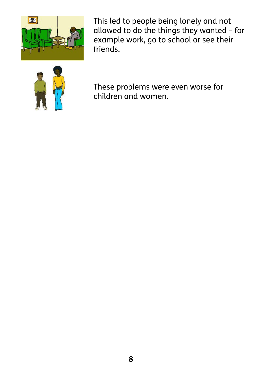

This led to people being lonely and not allowed to do the things they wanted – for example work, go to school or see their friends.



These problems were even worse for children and women.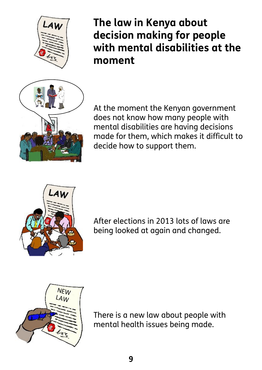



**The law in Kenya about decision making for people with mental disabilities at the moment**

At the moment the Kenyan government does not know how many people with mental disabilities are having decisions made for them, which makes it difficult to decide how to support them.



After elections in 2013 lots of laws are being looked at again and changed.



There is a new law about people with mental health issues being made.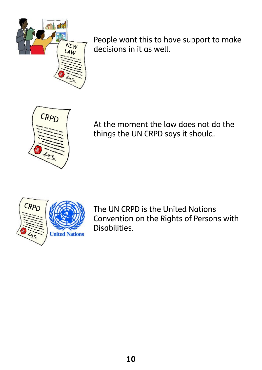

People want this to have support to make decisions in it as well.



At the moment the law does not do the things the UN CRPD says it should.



The UN CRPD is the United Nations Convention on the Rights of Persons with Disabilities.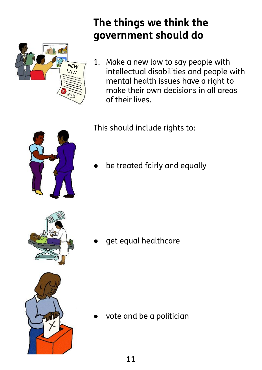

#### **The things we think the government should do**

1. Make a new law to say people with intellectual disabilities and people with mental health issues have a right to make their own decisions in all areas of their lives.

This should include rights to:

be treated fairly and equally



get equal healthcare



vote and be a politician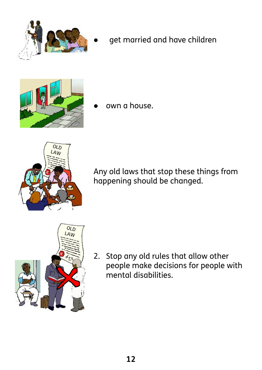

get married and have children



own a house.



Any old laws that stop these things from happening should be changed.



2. Stop any old rules that allow other people make decisions for people with mental disabilities.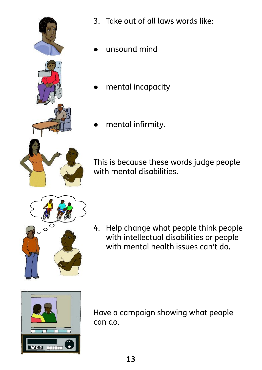

- 3. Take out of all laws words like:
- unsound mind
- mental incapacity
- mental infirmity.

This is because these words judge people with mental disabilities.



4. Help change what people think people with intellectual disabilities or people with mental health issues can't do.



Have a campaign showing what people can do.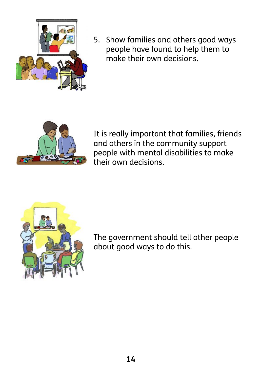

5. Show families and others good ways people have found to help them to make their own decisions.



It is really important that families, friends and others in the community support people with mental disabilities to make their own decisions.



The government should tell other people about good ways to do this.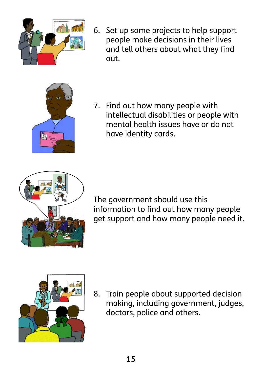

6. Set up some projects to help support people make decisions in their lives and tell others about what they find out.



7. Find out how many people with intellectual disabilities or people with mental health issues have or do not have identity cards.



The government should use this information to find out how many people get support and how many people need it.



8. Train people about supported decision making, including government, judges, doctors, police and others.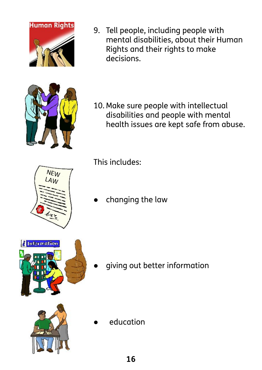9. Tell people, including people with mental disabilities, about their Human Rights and their rights to make decisions.

10. Make sure people with intellectual disabilities and people with mental health issues are kept safe from abuse.

This includes:

changing the law

giving out better information

education







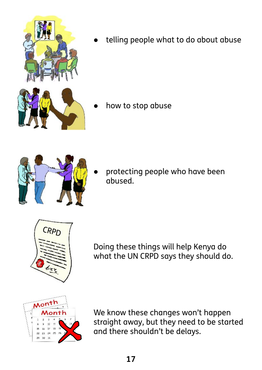

telling people what to do about abuse

how to stop abuse



protecting people who have been abused.



Doing these things will help Kenya do what the UN CRPD says they should do.



We know these changes won't happen straight away, but they need to be started and there shouldn't be delays.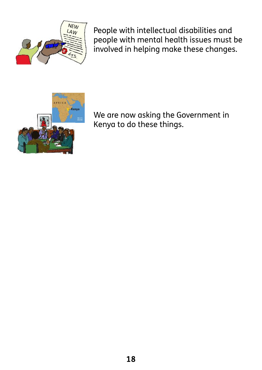

People with intellectual disabilities and people with mental health issues must be involved in helping make these changes.



We are now asking the Government in Kenya to do these things.